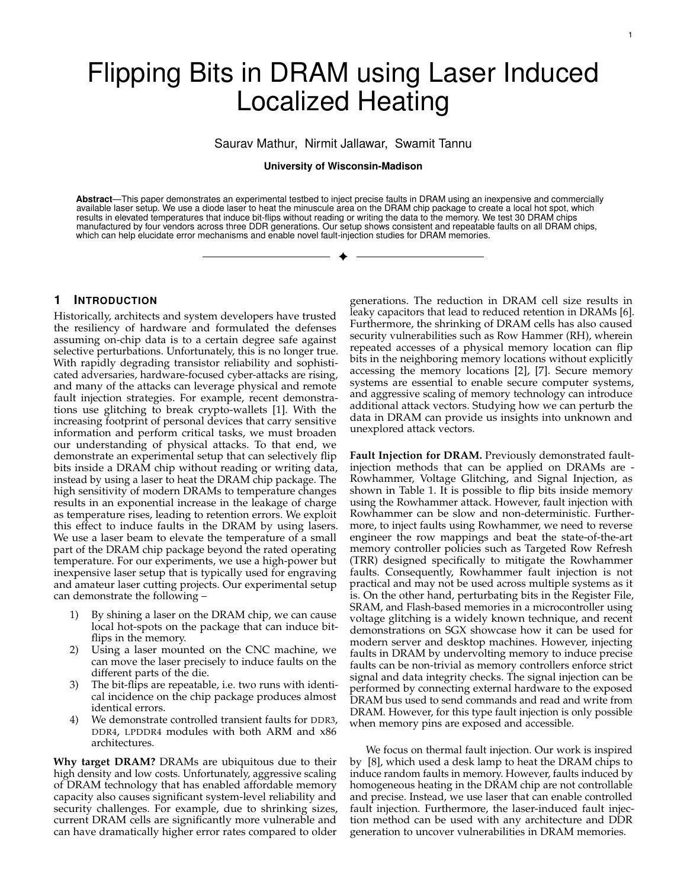# Flipping Bits in DRAM using Laser Induced Localized Heating

Saurav Mathur, Nirmit Jallawar, Swamit Tannu

## **University of Wisconsin-Madison**

**Abstract**—This paper demonstrates an experimental testbed to inject precise faults in DRAM using an inexpensive and commercially available laser setup. We use a diode laser to heat the minuscule area on the DRAM chip package to create a local hot spot, which results in elevated temperatures that induce bit-flips without reading or writing the data to the memory. We test 30 DRAM chips manufactured by four vendors across three DDR generations. Our setup shows consistent and repeatable faults on all DRAM chips, which can help elucidate error mechanisms and enable novel fault-injection studies for DRAM memories.

✦

## **1 INTRODUCTION**

Historically, architects and system developers have trusted the resiliency of hardware and formulated the defenses assuming on-chip data is to a certain degree safe against selective perturbations. Unfortunately, this is no longer true. With rapidly degrading transistor reliability and sophisticated adversaries, hardware-focused cyber-attacks are rising, and many of the attacks can leverage physical and remote fault injection strategies. For example, recent demonstrations use glitching to break crypto-wallets [1]. With the increasing footprint of personal devices that carry sensitive information and perform critical tasks, we must broaden our understanding of physical attacks. To that end, we demonstrate an experimental setup that can selectively flip bits inside a DRAM chip without reading or writing data, instead by using a laser to heat the DRAM chip package. The high sensitivity of modern DRAMs to temperature changes results in an exponential increase in the leakage of charge as temperature rises, leading to retention errors. We exploit this effect to induce faults in the DRAM by using lasers. We use a laser beam to elevate the temperature of a small part of the DRAM chip package beyond the rated operating temperature. For our experiments, we use a high-power but inexpensive laser setup that is typically used for engraving and amateur laser cutting projects. Our experimental setup can demonstrate the following –

- 1) By shining a laser on the DRAM chip, we can cause local hot-spots on the package that can induce bitflips in the memory.
- 2) Using a laser mounted on the CNC machine, we can move the laser precisely to induce faults on the different parts of the die.
- 3) The bit-flips are repeatable, i.e. two runs with identical incidence on the chip package produces almost identical errors.
- 4) We demonstrate controlled transient faults for DDR3, DDR4, LPDDR4 modules with both ARM and x86 architectures.

**Why target DRAM?** DRAMs are ubiquitous due to their high density and low costs. Unfortunately, aggressive scaling of DRAM technology that has enabled affordable memory capacity also causes significant system-level reliability and security challenges. For example, due to shrinking sizes, current DRAM cells are significantly more vulnerable and can have dramatically higher error rates compared to older

generations. The reduction in DRAM cell size results in leaky capacitors that lead to reduced retention in DRAMs [6]. Furthermore, the shrinking of DRAM cells has also caused security vulnerabilities such as Row Hammer (RH), wherein repeated accesses of a physical memory location can flip bits in the neighboring memory locations without explicitly accessing the memory locations [2], [7]. Secure memory systems are essential to enable secure computer systems, and aggressive scaling of memory technology can introduce additional attack vectors. Studying how we can perturb the data in DRAM can provide us insights into unknown and unexplored attack vectors.

**Fault Injection for DRAM.** Previously demonstrated faultinjection methods that can be applied on DRAMs are - Rowhammer, Voltage Glitching, and Signal Injection, as shown in Table 1. It is possible to flip bits inside memory using the Rowhammer attack. However, fault injection with Rowhammer can be slow and non-deterministic. Furthermore, to inject faults using Rowhammer, we need to reverse engineer the row mappings and beat the state-of-the-art memory controller policies such as Targeted Row Refresh (TRR) designed specifically to mitigate the Rowhammer faults. Consequently, Rowhammer fault injection is not practical and may not be used across multiple systems as it is. On the other hand, perturbating bits in the Register File, SRAM, and Flash-based memories in a microcontroller using voltage glitching is a widely known technique, and recent demonstrations on SGX showcase how it can be used for modern server and desktop machines. However, injecting faults in DRAM by undervolting memory to induce precise faults can be non-trivial as memory controllers enforce strict signal and data integrity checks. The signal injection can be performed by connecting external hardware to the exposed DRAM bus used to send commands and read and write from DRAM. However, for this type fault injection is only possible when memory pins are exposed and accessible.

We focus on thermal fault injection. Our work is inspired by [8], which used a desk lamp to heat the DRAM chips to induce random faults in memory. However, faults induced by homogeneous heating in the DRAM chip are not controllable and precise. Instead, we use laser that can enable controlled fault injection. Furthermore, the laser-induced fault injection method can be used with any architecture and DDR generation to uncover vulnerabilities in DRAM memories.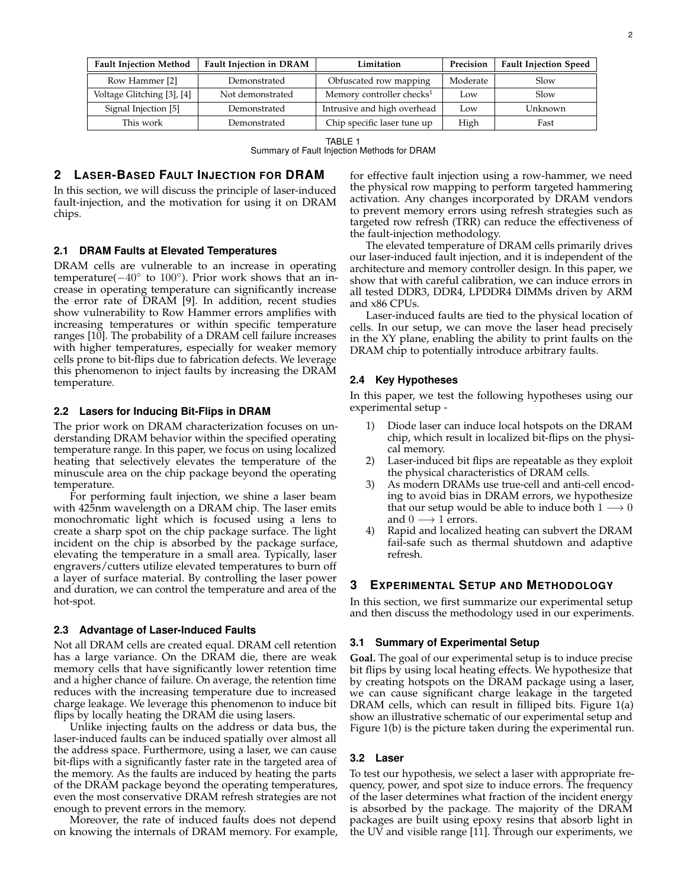| <b>Fault Injection Method</b> | <b>Fault Injection in DRAM</b> | Limitation                            | Precision | <b>Fault Injection Speed</b> |
|-------------------------------|--------------------------------|---------------------------------------|-----------|------------------------------|
| Row Hammer [2]                | Demonstrated                   | Obfuscated row mapping                | Moderate  | Slow                         |
| Voltage Glitching [3], [4]    | Not demonstrated               | Memory controller checks <sup>1</sup> | Low       | Slow                         |
| Signal Injection [5]          | Demonstrated                   | Intrusive and high overhead           | Low       | Unknown                      |
| This work                     | Demonstrated                   | Chip specific laser tune up           | High      | Fast                         |

TABLE 1

Summary of Fault Injection Methods for DRAM

# **2 LASER-BASED FAULT INJECTION FOR DRAM**

In this section, we will discuss the principle of laser-induced fault-injection, and the motivation for using it on DRAM chips.

## **2.1 DRAM Faults at Elevated Temperatures**

DRAM cells are vulnerable to an increase in operating temperature(-40° to 100°). Prior work shows that an increase in operating temperature can significantly increase the error rate of DRAM [9]. In addition, recent studies show vulnerability to Row Hammer errors amplifies with increasing temperatures or within specific temperature ranges [10]. The probability of a DRAM cell failure increases with higher temperatures, especially for weaker memory cells prone to bit-flips due to fabrication defects. We leverage this phenomenon to inject faults by increasing the DRAM temperature.

#### **2.2 Lasers for Inducing Bit-Flips in DRAM**

The prior work on DRAM characterization focuses on understanding DRAM behavior within the specified operating temperature range. In this paper, we focus on using localized heating that selectively elevates the temperature of the minuscule area on the chip package beyond the operating temperature.

For performing fault injection, we shine a laser beam with 425nm wavelength on a DRAM chip. The laser emits monochromatic light which is focused using a lens to create a sharp spot on the chip package surface. The light incident on the chip is absorbed by the package surface, elevating the temperature in a small area. Typically, laser engravers/cutters utilize elevated temperatures to burn off a layer of surface material. By controlling the laser power and duration, we can control the temperature and area of the hot-spot.

## **2.3 Advantage of Laser-Induced Faults**

Not all DRAM cells are created equal. DRAM cell retention has a large variance. On the DRAM die, there are weak memory cells that have significantly lower retention time and a higher chance of failure. On average, the retention time reduces with the increasing temperature due to increased charge leakage. We leverage this phenomenon to induce bit flips by locally heating the DRAM die using lasers.

Unlike injecting faults on the address or data bus, the laser-induced faults can be induced spatially over almost all the address space. Furthermore, using a laser, we can cause bit-flips with a significantly faster rate in the targeted area of the memory. As the faults are induced by heating the parts of the DRAM package beyond the operating temperatures, even the most conservative DRAM refresh strategies are not enough to prevent errors in the memory.

Moreover, the rate of induced faults does not depend on knowing the internals of DRAM memory. For example, for effective fault injection using a row-hammer, we need the physical row mapping to perform targeted hammering activation. Any changes incorporated by DRAM vendors to prevent memory errors using refresh strategies such as targeted row refresh (TRR) can reduce the effectiveness of the fault-injection methodology.

The elevated temperature of DRAM cells primarily drives our laser-induced fault injection, and it is independent of the architecture and memory controller design. In this paper, we show that with careful calibration, we can induce errors in all tested DDR3, DDR4, LPDDR4 DIMMs driven by ARM and x86 CPUs.

Laser-induced faults are tied to the physical location of cells. In our setup, we can move the laser head precisely in the XY plane, enabling the ability to print faults on the DRAM chip to potentially introduce arbitrary faults.

## **2.4 Key Hypotheses**

In this paper, we test the following hypotheses using our experimental setup -

- 1) Diode laser can induce local hotspots on the DRAM chip, which result in localized bit-flips on the physical memory.
- 2) Laser-induced bit flips are repeatable as they exploit the physical characteristics of DRAM cells.
- 3) As modern DRAMs use true-cell and anti-cell encoding to avoid bias in DRAM errors, we hypothesize that our setup would be able to induce both  $1 \rightarrow 0$ and  $0 \rightarrow 1$  errors.
- Rapid and localized heating can subvert the DRAM fail-safe such as thermal shutdown and adaptive refresh.

# **3 EXPERIMENTAL SETUP AND METHODOLOGY**

In this section, we first summarize our experimental setup and then discuss the methodology used in our experiments.

#### **3.1 Summary of Experimental Setup**

**Goal.** The goal of our experimental setup is to induce precise bit flips by using local heating effects. We hypothesize that by creating hotspots on the DRAM package using a laser, we can cause significant charge leakage in the targeted DRAM cells, which can result in filliped bits. Figure 1(a) show an illustrative schematic of our experimental setup and Figure 1(b) is the picture taken during the experimental run.

## **3.2 Laser**

To test our hypothesis, we select a laser with appropriate frequency, power, and spot size to induce errors. The frequency of the laser determines what fraction of the incident energy is absorbed by the package. The majority of the DRAM packages are built using epoxy resins that absorb light in the UV and visible range [11]. Through our experiments, we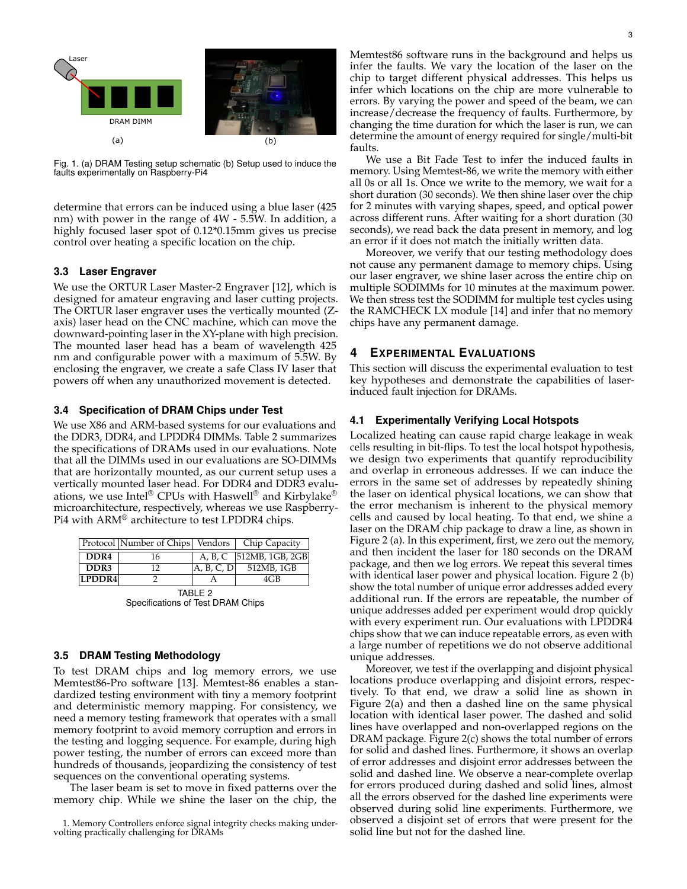

Fig. 1. (a) DRAM Testing setup schematic (b) Setup used to induce the faults experimentally on Raspberry-Pi4

determine that errors can be induced using a blue laser (425 nm) with power in the range of 4W - 5.5W. In addition, a highly focused laser spot of 0.12\*0.15mm gives us precise control over heating a specific location on the chip.

## **3.3 Laser Engraver**

We use the ORTUR Laser Master-2 Engraver [12], which is designed for amateur engraving and laser cutting projects. The ORTUR laser engraver uses the vertically mounted (Zaxis) laser head on the CNC machine, which can move the downward-pointing laser in the XY-plane with high precision. The mounted laser head has a beam of wavelength 425 nm and configurable power with a maximum of 5.5W. By enclosing the engraver, we create a safe Class IV laser that powers off when any unauthorized movement is detected.

## **3.4 Specification of DRAM Chips under Test**

We use X86 and ARM-based systems for our evaluations and the DDR3, DDR4, and LPDDR4 DIMMs. Table 2 summarizes the specifications of DRAMs used in our evaluations. Note that all the DIMMs used in our evaluations are SO-DIMMs that are horizontally mounted, as our current setup uses a vertically mounted laser head. For DDR4 and DDR3 evaluations, we use Intel® CPUs with Haswell® and Kirbylake® microarchitecture, respectively, whereas we use Raspberry-Pi4 with ARM® architecture to test LPDDR4 chips.

|                  | Protocol Number of Chips Vendors   Chip Capacity |            |                           |  |  |  |
|------------------|--------------------------------------------------|------------|---------------------------|--|--|--|
| DDR <sub>4</sub> | 16                                               |            | A, B, C   512MB, 1GB, 2GB |  |  |  |
| DDR3             | 12                                               | A, B, C, D | 512MB, 1GB                |  |  |  |
| LPDDR4           |                                                  |            | 4GB                       |  |  |  |
| TARIE ?          |                                                  |            |                           |  |  |  |

TABLE 2 Specifications of Test DRAM Chips

## **3.5 DRAM Testing Methodology**

To test DRAM chips and log memory errors, we use Memtest86-Pro software [13]. Memtest-86 enables a standardized testing environment with tiny a memory footprint and deterministic memory mapping. For consistency, we need a memory testing framework that operates with a small memory footprint to avoid memory corruption and errors in the testing and logging sequence. For example, during high power testing, the number of errors can exceed more than hundreds of thousands, jeopardizing the consistency of test sequences on the conventional operating systems.

The laser beam is set to move in fixed patterns over the memory chip. While we shine the laser on the chip, the

We use a Bit Fade Test to infer the induced faults in memory. Using Memtest-86, we write the memory with either all 0s or all 1s. Once we write to the memory, we wait for a short duration (30 seconds). We then shine laser over the chip for 2 minutes with varying shapes, speed, and optical power across different runs. After waiting for a short duration (30 seconds), we read back the data present in memory, and log an error if it does not match the initially written data.

Moreover, we verify that our testing methodology does not cause any permanent damage to memory chips. Using our laser engraver, we shine laser across the entire chip on multiple SODIMMs for 10 minutes at the maximum power. We then stress test the SODIMM for multiple test cycles using the RAMCHECK LX module [14] and infer that no memory chips have any permanent damage.

# **4 EXPERIMENTAL EVALUATIONS**

faults.

This section will discuss the experimental evaluation to test key hypotheses and demonstrate the capabilities of laserinduced fault injection for DRAMs.

## **4.1 Experimentally Verifying Local Hotspots**

Localized heating can cause rapid charge leakage in weak cells resulting in bit-flips. To test the local hotspot hypothesis, we design two experiments that quantify reproducibility and overlap in erroneous addresses. If we can induce the errors in the same set of addresses by repeatedly shining the laser on identical physical locations, we can show that the error mechanism is inherent to the physical memory cells and caused by local heating. To that end, we shine a laser on the DRAM chip package to draw a line, as shown in Figure 2 (a). In this experiment, first, we zero out the memory, and then incident the laser for 180 seconds on the DRAM package, and then we log errors. We repeat this several times with identical laser power and physical location. Figure 2 (b) show the total number of unique error addresses added every additional run. If the errors are repeatable, the number of unique addresses added per experiment would drop quickly with every experiment run. Our evaluations with LPDDR4 chips show that we can induce repeatable errors, as even with a large number of repetitions we do not observe additional unique addresses.

Moreover, we test if the overlapping and disjoint physical locations produce overlapping and disjoint errors, respectively. To that end, we draw a solid line as shown in Figure 2(a) and then a dashed line on the same physical location with identical laser power. The dashed and solid lines have overlapped and non-overlapped regions on the DRAM package. Figure 2(c) shows the total number of errors for solid and dashed lines. Furthermore, it shows an overlap of error addresses and disjoint error addresses between the solid and dashed line. We observe a near-complete overlap for errors produced during dashed and solid lines, almost all the errors observed for the dashed line experiments were observed during solid line experiments. Furthermore, we observed a disjoint set of errors that were present for the solid line but not for the dashed line.

<sup>1.</sup> Memory Controllers enforce signal integrity checks making undervolting practically challenging for DRAMs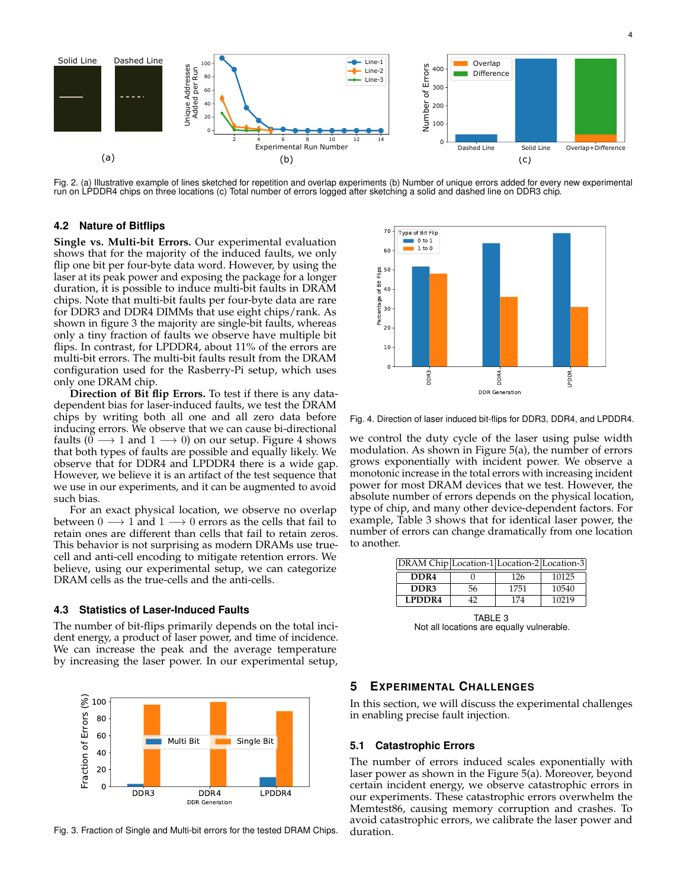

Fig. 2. (a) Illustrative example of lines sketched for repetition and overlap experiments (b) Number of unique errors added for every new experimental run on LPDDR4 chips on three locations (c) Total number of errors logged after sketching a solid and dashed line on DDR3 chip.

## **4.2 Nature of Bitflips**

**Single vs. Multi-bit Errors.** Our experimental evaluation shows that for the majority of the induced faults, we only flip one bit per four-byte data word. However, by using the laser at its peak power and exposing the package for a longer duration, it is possible to induce multi-bit faults in DRAM chips. Note that multi-bit faults per four-byte data are rare for DDR3 and DDR4 DIMMs that use eight chips/rank. As shown in figure 3 the majority are single-bit faults, whereas only a tiny fraction of faults we observe have multiple bit flips. In contrast, for LPDDR4, about 11% of the errors are multi-bit errors. The multi-bit faults result from the DRAM configuration used for the Rasberry-Pi setup, which uses only one DRAM chip.

**Direction of Bit flip Errors.** To test if there is any datadependent bias for laser-induced faults, we test the DRAM chips by writing both all one and all zero data before inducing errors. We observe that we can cause bi-directional faults  $(0 \rightarrow 1$  and  $1 \rightarrow 0)$  on our setup. Figure 4 shows that both types of faults are possible and equally likely. We observe that for DDR4 and LPDDR4 there is a wide gap. However, we believe it is an artifact of the test sequence that we use in our experiments, and it can be augmented to avoid such bias.

For an exact physical location, we observe no overlap between  $0 \rightarrow 1$  and  $1 \rightarrow 0$  errors as the cells that fail to retain ones are different than cells that fail to retain zeros. This behavior is not surprising as modern DRAMs use truecell and anti-cell encoding to mitigate retention errors. We believe, using our experimental setup, we can categorize DRAM cells as the true-cells and the anti-cells.

## **4.3 Statistics of Laser-Induced Faults**

The number of bit-flips primarily depends on the total incident energy, a product of laser power, and time of incidence. We can increase the peak and the average temperature by increasing the laser power. In our experimental setup,





Fig. 4. Direction of laser induced bit-flips for DDR3, DDR4, and LPDDR4.

we control the duty cycle of the laser using pulse width modulation. As shown in Figure 5(a), the number of errors grows exponentially with incident power. We observe a monotonic increase in the total errors with increasing incident power for most DRAM devices that we test. However, the absolute number of errors depends on the physical location, type of chip, and many other device-dependent factors. For example, Table 3 shows that for identical laser power, the number of errors can change dramatically from one location to another.

| DRAM Chip Location-1 Location-2 Location-3 |    |      |       |
|--------------------------------------------|----|------|-------|
| DDR <sub>4</sub>                           |    | 126  | 10125 |
| DDR3                                       | 56 | 1751 | 10540 |
| <b>LPDDR4</b>                              | 42 | 174  | 10219 |
|                                            |    |      |       |

TABLE 3 Not all locations are equally vulnerable.

## **5 EXPERIMENTAL CHALLENGES**

In this section, we will discuss the experimental challenges in enabling precise fault injection.

## **5.1 Catastrophic Errors**

The number of errors induced scales exponentially with laser power as shown in the Figure 5(a). Moreover, beyond certain incident energy, we observe catastrophic errors in our experiments. These catastrophic errors overwhelm the Memtest86, causing memory corruption and crashes. To avoid catastrophic errors, we calibrate the laser power and duration.